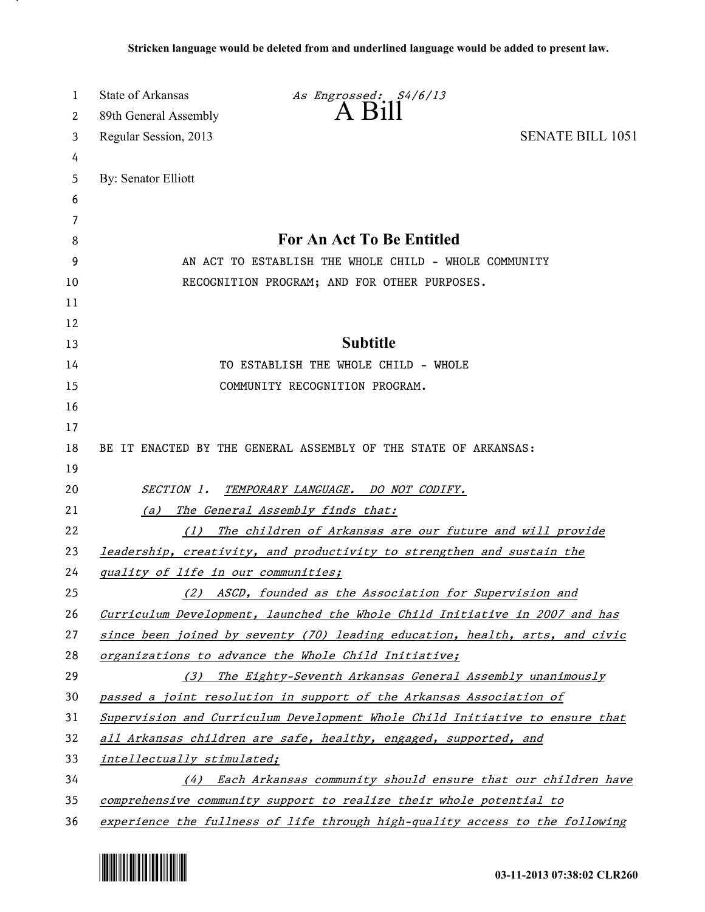| 1  | State of Arkansas<br>As Engrossed: S4/6/13                                   |
|----|------------------------------------------------------------------------------|
| 2  | $A$ $H11$<br>89th General Assembly                                           |
| 3  | <b>SENATE BILL 1051</b><br>Regular Session, 2013                             |
| 4  |                                                                              |
| 5  | By: Senator Elliott                                                          |
| 6  |                                                                              |
| 7  |                                                                              |
| 8  | <b>For An Act To Be Entitled</b>                                             |
| 9  | AN ACT TO ESTABLISH THE WHOLE CHILD - WHOLE COMMUNITY                        |
| 10 | RECOGNITION PROGRAM; AND FOR OTHER PURPOSES.                                 |
| 11 |                                                                              |
| 12 |                                                                              |
| 13 | <b>Subtitle</b>                                                              |
| 14 | TO ESTABLISH THE WHOLE CHILD - WHOLE                                         |
| 15 | COMMUNITY RECOGNITION PROGRAM.                                               |
| 16 |                                                                              |
| 17 |                                                                              |
| 18 | BE IT ENACTED BY THE GENERAL ASSEMBLY OF THE STATE OF ARKANSAS:              |
| 19 |                                                                              |
| 20 | <i>SECTION 1.</i><br>TEMPORARY LANGUAGE. DO NOT CODIFY.                      |
| 21 | The General Assembly finds that:<br>(a)                                      |
| 22 | The children of Arkansas are our future and will provide<br>(1)              |
| 23 | leadership, creativity, and productivity to strengthen and sustain the       |
| 24 | quality of life in our communities;                                          |
| 25 | (2) ASCD, founded as the Association for Supervision and                     |
| 26 | Curriculum Development, launched the Whole Child Initiative in 2007 and has  |
| 27 | since been joined by seventy (70) leading education, health, arts, and civic |
| 28 | organizations to advance the Whole Child Initiative;                         |
| 29 | (3)<br>The Eighty-Seventh Arkansas General Assembly unanimously              |
| 30 | passed a joint resolution in support of the Arkansas Association of          |
| 31 | Supervision and Curriculum Development Whole Child Initiative to ensure that |
| 32 | all Arkansas children are safe, healthy, engaged, supported, and             |
| 33 | intellectually stimulated;                                                   |
| 34 | (4) Each Arkansas community should ensure that our children have             |
| 35 | comprehensive community support to realize their whole potential to          |
| 36 | experience the fullness of life through high-quality access to the following |



.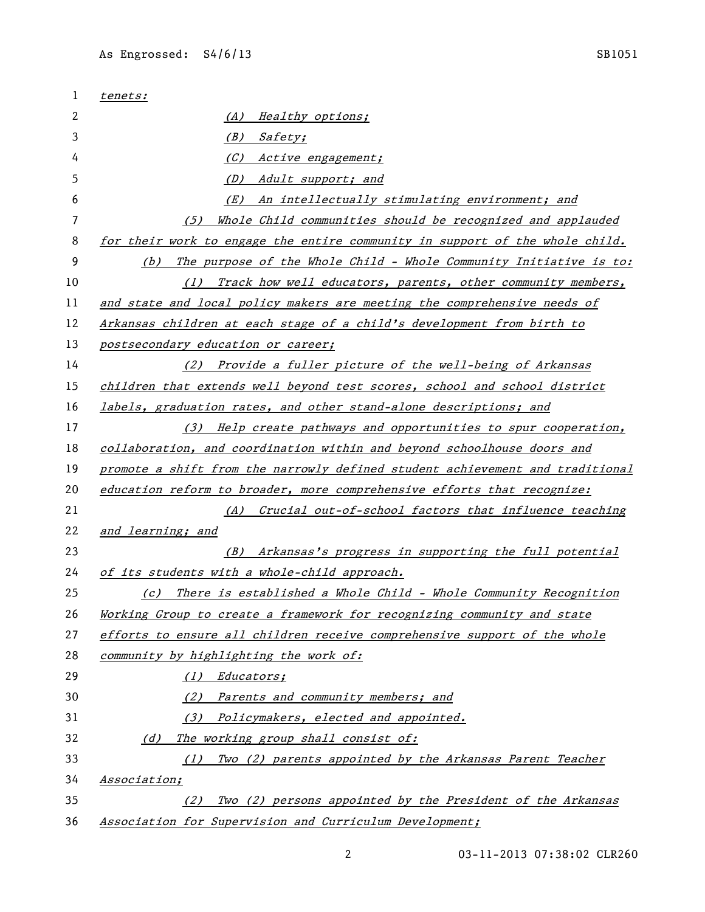| 1  | tenets:                                                                       |
|----|-------------------------------------------------------------------------------|
| 2  | Healthy options;<br>(A)                                                       |
| 3  | (B)<br><i>Safety;</i>                                                         |
| 4  | (C)<br>Active engagement;                                                     |
| 5  | (D)<br>Adult support; and                                                     |
| 6  | An intellectually stimulating environment; and<br>(E)                         |
| 7  | Whole Child communities should be recognized and applauded<br>(5)             |
| 8  | for their work to engage the entire community in support of the whole child.  |
| 9  | The purpose of the Whole Child - Whole Community Initiative is to:<br>(b)     |
| 10 | Track how well educators, parents, other community members,<br>(1)            |
| 11 | and state and local policy makers are meeting the comprehensive needs of      |
| 12 | Arkansas children at each stage of a child's development from birth to        |
| 13 | postsecondary education or career;                                            |
| 14 | Provide a fuller picture of the well-being of Arkansas<br>(2)                 |
| 15 | children that extends well beyond test scores, school and school district     |
| 16 | labels, graduation rates, and other stand-alone descriptions; and             |
| 17 | (3) Help create pathways and opportunities to spur cooperation,               |
| 18 | collaboration, and coordination within and beyond schoolhouse doors and       |
| 19 | promote a shift from the narrowly defined student achievement and traditional |
| 20 | education reform to broader, more comprehensive efforts that recognize:       |
| 21 | (A) Crucial out-of-school factors that influence teaching                     |
| 22 | and learning; and                                                             |
| 23 | (B) Arkansas's progress in supporting the full potential                      |
| 24 | of its students with a whole-child approach.                                  |
| 25 | (c) There is established a Whole Child - Whole Community Recognition          |
| 26 | Working Group to create a framework for recognizing community and state       |
| 27 | efforts to ensure all children receive comprehensive support of the whole     |
| 28 | community by highlighting the work of:                                        |
| 29 | <i>Educators;</i><br>(1)                                                      |
| 30 | (2) Parents and community members; and                                        |
| 31 | Policymakers, elected and appointed.<br>(3)                                   |
| 32 | (d) The working group shall consist of:                                       |
| 33 | Two (2) parents appointed by the Arkansas Parent Teacher<br>(1)               |
| 34 | Association;                                                                  |
| 35 | Two (2) persons appointed by the President of the Arkansas<br>(2)             |
| 36 | Association for Supervision and Curriculum Development;                       |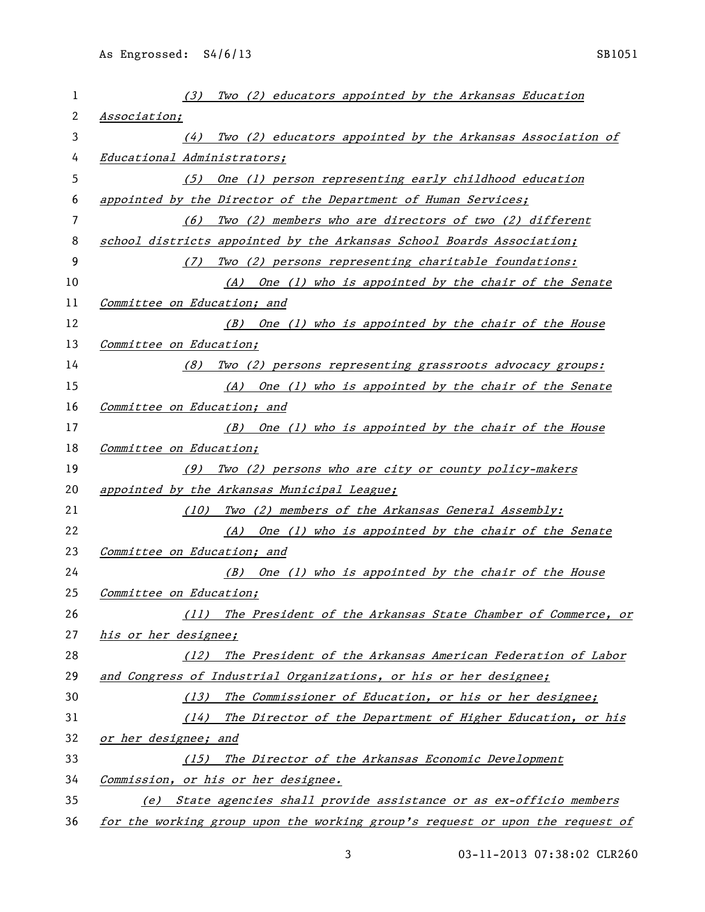| 1  | Two (2) educators appointed by the Arkansas Education<br>(3)                  |
|----|-------------------------------------------------------------------------------|
| 2  | Association;                                                                  |
| 3  | Two (2) educators appointed by the Arkansas Association of<br>(4)             |
| 4  | Educational Administrators;                                                   |
| 5  | One (1) person representing early childhood education<br>(5)                  |
| 6  | appointed by the Director of the Department of Human Services;                |
| 7  | Two (2) members who are directors of two (2) different<br>(6)                 |
| 8  | school districts appointed by the Arkansas School Boards Association;         |
| 9  | Two (2) persons representing charitable foundations:<br>(7)                   |
| 10 | (A) One (1) who is appointed by the chair of the Senate                       |
| 11 | Committee on Education; and                                                   |
| 12 | (B) One (1) who is appointed by the chair of the House                        |
| 13 | Committee on Education;                                                       |
| 14 | (8) Two (2) persons representing grassroots advocacy groups:                  |
| 15 | (A) One (1) who is appointed by the chair of the Senate                       |
| 16 | Committee on Education; and                                                   |
| 17 | (B) One (1) who is appointed by the chair of the House                        |
| 18 | Committee on Education;                                                       |
| 19 | (9) Two (2) persons who are city or county policy-makers                      |
| 20 | appointed by the Arkansas Municipal League;                                   |
| 21 | Two (2) members of the Arkansas General Assembly:<br>(10)                     |
| 22 | (A) One (1) who is appointed by the chair of the Senate                       |
| 23 | Committee on Education; and                                                   |
| 24 | $(B)$ One (1) who is appointed by the chair of the House                      |
| 25 | Committee on Education;                                                       |
| 26 | (11) The President of the Arkansas State Chamber of Commerce, or              |
| 27 | his or her designee;                                                          |
| 28 | The President of the Arkansas American Federation of Labor<br>(12)            |
| 29 | and Congress of Industrial Organizations, or his or her designee;             |
| 30 | The Commissioner of Education, or his or her designee;<br>(13)                |
| 31 | (14) The Director of the Department of Higher Education, or his               |
| 32 | or her designee; and                                                          |
| 33 | (15) The Director of the Arkansas Economic Development                        |
| 34 | Commission, or his or her designee.                                           |
| 35 | (e) State agencies shall provide assistance or as ex-officio members          |
| 36 | for the working group upon the working group's request or upon the request of |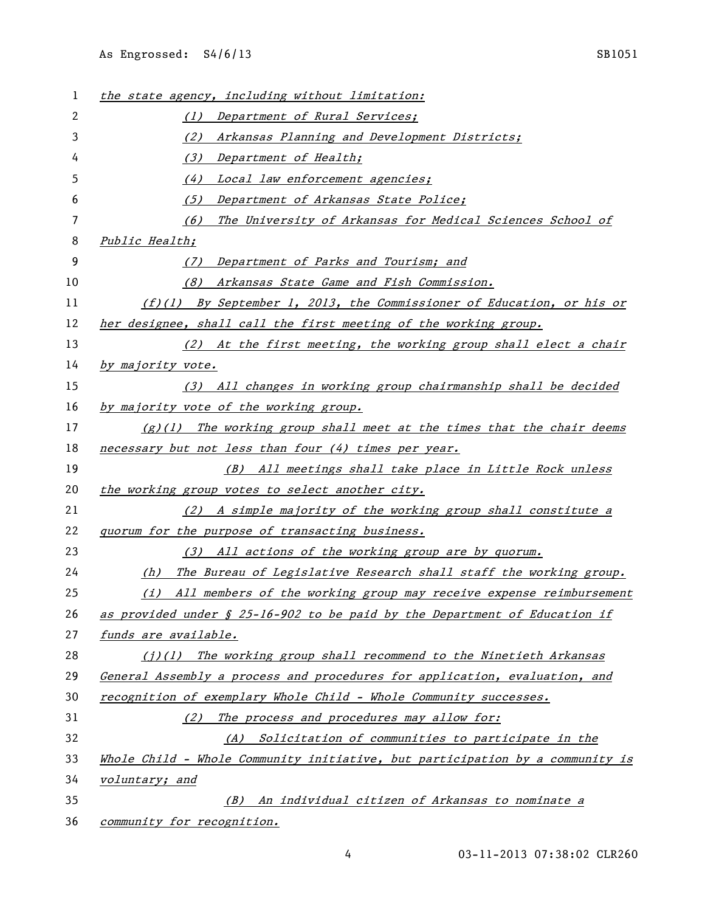| 1  | the state agency, including without limitation:                               |
|----|-------------------------------------------------------------------------------|
| 2  | (1) Department of Rural Services;                                             |
| 3  | Arkansas Planning and Development Districts;<br>(2)                           |
| 4  | (3) Department of Health;                                                     |
| 5  | (4) Local law enforcement agencies;                                           |
| 6  | Department of Arkansas State Police;<br>(5)                                   |
| 7  | (6)<br>The University of Arkansas for Medical Sciences School of              |
| 8  | Public Health;                                                                |
| 9  | Department of Parks and Tourism; and<br>(7)                                   |
| 10 | (8)<br>Arkansas State Game and Fish Commission.                               |
| 11 | $(f)(1)$ By September 1, 2013, the Commissioner of Education, or his or       |
| 12 | her designee, shall call the first meeting of the working group.              |
| 13 | (2) At the first meeting, the working group shall elect a chair               |
| 14 | by majority vote.                                                             |
| 15 | (3) All changes in working group chairmanship shall be decided                |
| 16 | by majority vote of the working group.                                        |
| 17 | $(g)(1)$ The working group shall meet at the times that the chair deems       |
| 18 | necessary but not less than four (4) times per year.                          |
| 19 | (B) All meetings shall take place in Little Rock unless                       |
| 20 | the working group votes to select another city.                               |
| 21 | (2) A simple majority of the working group shall constitute a                 |
| 22 | quorum for the purpose of transacting business.                               |
| 23 | (3) All actions of the working group are by quorum.                           |
| 24 | The Bureau of Legislative Research shall staff the working group.<br>(h)      |
| 25 | (i) All members of the working group may receive expense reimbursement        |
| 26 | as provided under § 25-16-902 to be paid by the Department of Education if    |
| 27 | funds are available.                                                          |
| 28 | $(i)(1)$ The working group shall recommend to the Ninetieth Arkansas          |
| 29 | General Assembly a process and procedures for application, evaluation, and    |
| 30 | recognition of exemplary Whole Child - Whole Community successes.             |
| 31 | (2) The process and procedures may allow for:                                 |
| 32 | (A) Solicitation of communities to participate in the                         |
| 33 | Whole Child - Whole Community initiative, but participation by a community is |
| 34 | voluntary; and                                                                |
| 35 | An individual citizen of Arkansas to nominate a<br>(B)                        |
| 36 | <i>community for recognition.</i>                                             |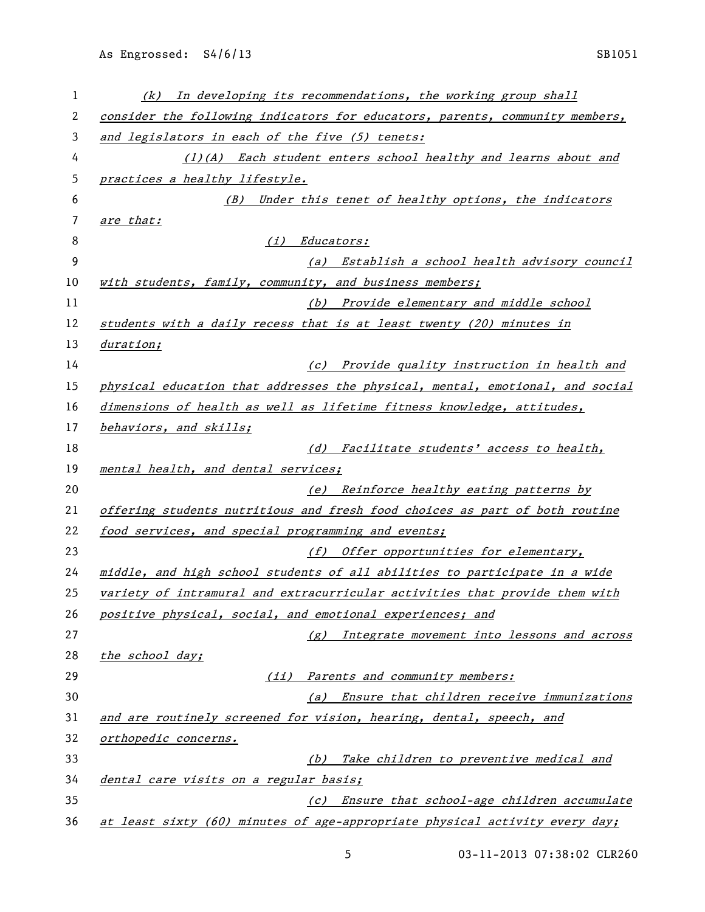| 1  | In developing its recommendations, the working group shall<br>(k)             |
|----|-------------------------------------------------------------------------------|
| 2  | consider the following indicators for educators, parents, community members,  |
| 3  | and legislators in each of the five (5) tenets:                               |
| 4  | (1)(A) Each student enters school healthy and learns about and                |
| 5  | practices a healthy lifestyle.                                                |
| 6  | (B) Under this tenet of healthy options, the indicators                       |
| 7  | are that:                                                                     |
| 8  | (i) Educators:                                                                |
| 9  | (a) Establish a school health advisory council                                |
| 10 | with students, family, community, and business members;                       |
| 11 | (b) Provide elementary and middle school                                      |
| 12 | students with a daily recess that is at least twenty (20) minutes in          |
| 13 | duration;                                                                     |
| 14 | (c) Provide quality instruction in health and                                 |
| 15 | physical education that addresses the physical, mental, emotional, and social |
| 16 | dimensions of health as well as lifetime fitness knowledge, attitudes,        |
| 17 | behaviors, and skills;                                                        |
| 18 | (d) Facilitate students' access to health,                                    |
| 19 | mental health, and dental services;                                           |
| 20 | (e) Reinforce healthy eating patterns by                                      |
| 21 | offering students nutritious and fresh food choices as part of both routine   |
| 22 | food services, and special programming and events;                            |
| 23 | (f) Offer opportunities for elementary,                                       |
| 24 | middle, and high school students of all abilities to participate in a wide    |
| 25 | variety of intramural and extracurricular activities that provide them with   |
| 26 | positive physical, social, and emotional experiences; and                     |
| 27 | (g) Integrate movement into lessons and across                                |
| 28 | the school day;                                                               |
| 29 | (ii) Parents and community members:                                           |
| 30 | (a) Ensure that children receive immunizations                                |
| 31 | and are routinely screened for vision, hearing, dental, speech, and           |
| 32 | orthopedic concerns.                                                          |
| 33 | (b) Take children to preventive medical and                                   |
| 34 | dental care visits on a regular basis;                                        |
| 35 | (c) Ensure that school-age children accumulate                                |
| 36 | at least sixty (60) minutes of age-appropriate physical activity every day;   |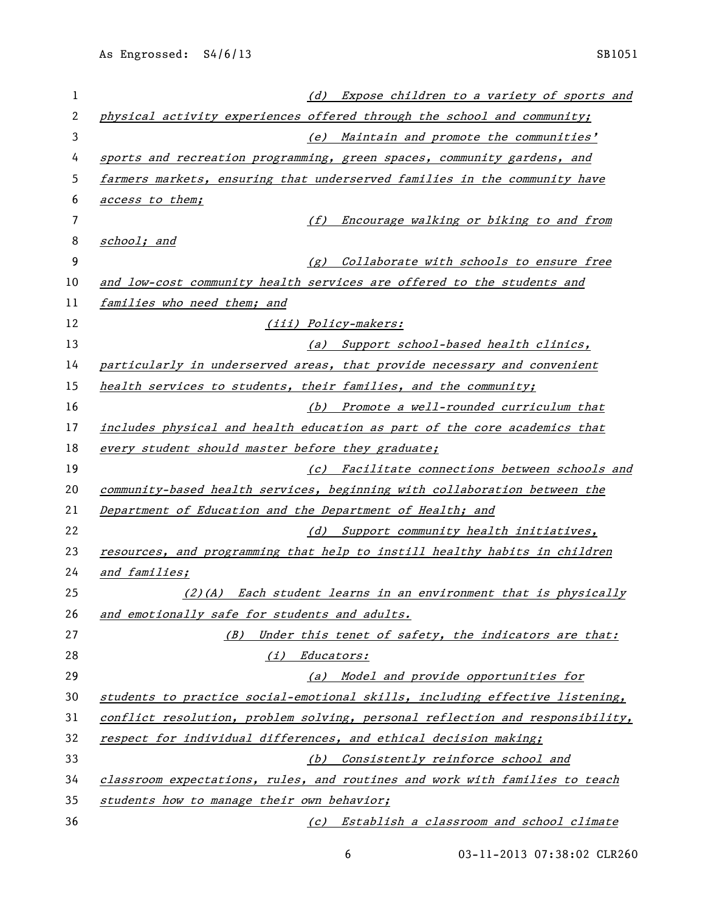| 1  | (d) Expose children to a variety of sports and                                |
|----|-------------------------------------------------------------------------------|
| 2  | physical activity experiences offered through the school and community;       |
| 3  | (e) Maintain and promote the communities'                                     |
| 4  | sports and recreation programming, green spaces, community gardens, and       |
| 5  | farmers markets, ensuring that underserved families in the community have     |
| 6  | access to them;                                                               |
| 7  | Encourage walking or biking to and from<br>(f)                                |
| 8  | school; and                                                                   |
| 9  | (g) Collaborate with schools to ensure free                                   |
| 10 | and low-cost community health services are offered to the students and        |
| 11 | families who need them; and                                                   |
| 12 | (iii) Policy-makers:                                                          |
| 13 | (a) Support school-based health clinics,                                      |
| 14 | particularly in underserved areas, that provide necessary and convenient      |
| 15 | health services to students, their families, and the community;               |
| 16 | (b) Promote a well-rounded curriculum that                                    |
| 17 | includes physical and health education as part of the core academics that     |
| 18 | every student should master before they graduate;                             |
| 19 | (c) Facilitate connections between schools and                                |
| 20 | community-based health services, beginning with collaboration between the     |
| 21 | Department of Education and the Department of Health; and                     |
| 22 | (d) Support community health initiatives,                                     |
| 23 | resources, and programming that help to instill healthy habits in children    |
| 24 | and families;                                                                 |
| 25 | (2)(A) Each student learns in an environment that is physically               |
| 26 | and emotionally safe for students and adults.                                 |
| 27 | Under this tenet of safety, the indicators are that:<br>(B)                   |
| 28 | (i) Educators:                                                                |
| 29 | (a) Model and provide opportunities for                                       |
| 30 | students to practice social-emotional skills, including effective listening,  |
| 31 | conflict resolution, problem solving, personal reflection and responsibility, |
| 32 | respect for individual differences, and ethical decision making;              |
| 33 | (b) Consistently reinforce school and                                         |
| 34 | classroom expectations, rules, and routines and work with families to teach   |
| 35 | students how to manage their own behavior;                                    |
| 36 | (c) Establish a classroom and school climate                                  |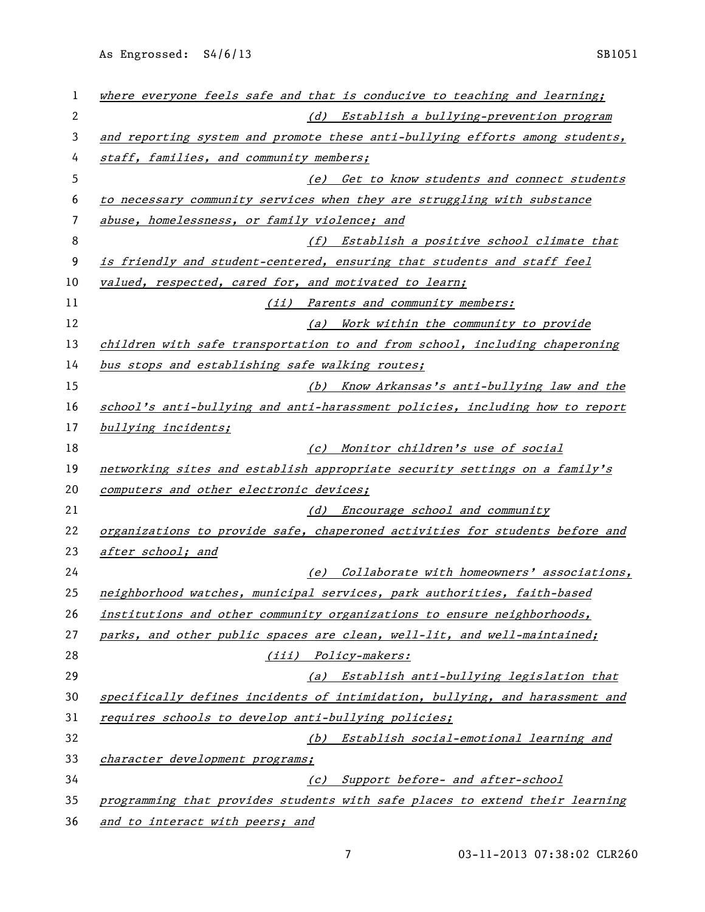As Engrossed: S4/6/13 SB1051

| 1  | where everyone feels safe and that is conducive to teaching and learning;    |
|----|------------------------------------------------------------------------------|
| 2  | (d) Establish a bullying-prevention program                                  |
| 3  | and reporting system and promote these anti-bullying efforts among students, |
| 4  | staff, families, and community members;                                      |
| 5  | (e) Get to know students and connect students                                |
| 6  | to necessary community services when they are struggling with substance      |
| 7  | abuse, homelessness, or family violence; and                                 |
| 8  | (f) Establish a positive school climate that                                 |
| 9  | is friendly and student-centered, ensuring that students and staff feel      |
| 10 | valued, respected, cared for, and motivated to learn;                        |
| 11 | (ii) Parents and community members:                                          |
| 12 | (a) Work within the community to provide                                     |
| 13 | children with safe transportation to and from school, including chaperoning  |
| 14 | bus stops and establishing safe walking routes;                              |
| 15 | (b) Know Arkansas's anti-bullying law and the                                |
| 16 | school's anti-bullying and anti-harassment policies, including how to report |
| 17 | bullying incidents;                                                          |
| 18 | (c) Monitor children's use of social                                         |
| 19 | networking sites and establish appropriate security settings on a family's   |
| 20 | computers and other electronic devices;                                      |
| 21 | Encourage school and community<br>(d)                                        |
| 22 | organizations to provide safe, chaperoned activities for students before and |
| 23 | after school; and                                                            |
| 24 | (e) Collaborate with homeowners' associations,                               |
| 25 | neighborhood watches, municipal services, park authorities, faith-based      |
| 26 | institutions and other community organizations to ensure neighborhoods,      |
| 27 | parks, and other public spaces are clean, well-lit, and well-maintained;     |
| 28 | (iii) Policy-makers:                                                         |
| 29 | (a) Establish anti-bullying legislation that                                 |
| 30 | specifically defines incidents of intimidation, bullying, and harassment and |
| 31 | requires schools to develop anti-bullying policies;                          |
| 32 | (b) Establish social-emotional learning and                                  |
| 33 | character development programs;                                              |
| 34 | (c) Support before- and after-school                                         |
| 35 | programming that provides students with safe places to extend their learning |
| 36 | and to interact with peers; and                                              |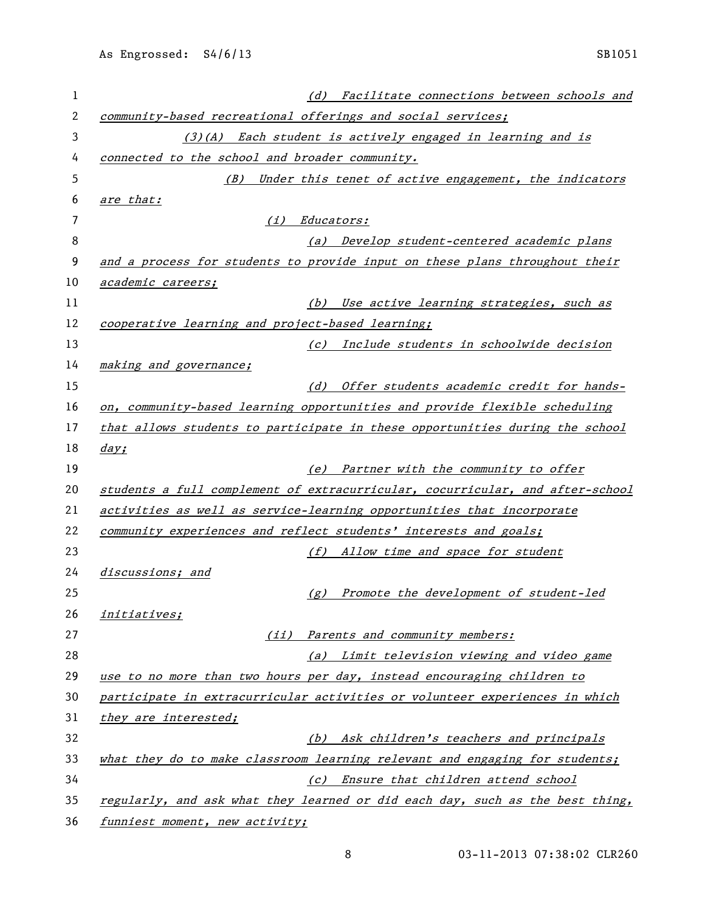| 1              | Facilitate connections between schools and<br>(d)                             |
|----------------|-------------------------------------------------------------------------------|
| $\overline{2}$ | community-based recreational offerings and social services;                   |
| 3              | (3)(A) Each student is actively engaged in learning and is                    |
| 4              | connected to the school and broader community.                                |
| 5              | Under this tenet of active engagement, the indicators<br>(B)                  |
| 6              | are that:                                                                     |
| 7              | <i>Educators:</i><br>(i)                                                      |
| 8              | Develop student-centered academic plans<br>(a)                                |
| 9              | and a process for students to provide input on these plans throughout their   |
| 10             | academic careers;                                                             |
| 11             | (b) Use active learning strategies, such as                                   |
| 12             | cooperative learning and project-based learning;                              |
| 13             | Include students in schoolwide decision<br>(c)                                |
| 14             | making and governance;                                                        |
| 15             | (d) Offer students academic credit for hands-                                 |
| 16             | on, community-based learning opportunities and provide flexible scheduling    |
| 17             | that allows students to participate in these opportunities during the school  |
| 18             | day;                                                                          |
| 19             | (e) Partner with the community to offer                                       |
| 20             | students a full complement of extracurricular, cocurricular, and after-school |
| 21             | activities as well as service-learning opportunities that incorporate         |
| 22             | community experiences and reflect students' interests and goals;              |
| 23             | (f) Allow time and space for student                                          |
| 24             | discussions; and                                                              |
| 25             | (g) Promote the development of student-led                                    |
| 26             | <i>initiatives;</i>                                                           |
| 27             | (ii) Parents and community members:                                           |
| 28             | (a) Limit television viewing and video game                                   |
| 29             | use to no more than two hours per day, instead encouraging children to        |
| 30             | participate in extracurricular activities or volunteer experiences in which   |
| 31             | they are interested;                                                          |
| 32             | (b) Ask children's teachers and principals                                    |
| 33             | what they do to make classroom learning relevant and engaging for students;   |
| 34             | (c) Ensure that children attend school                                        |
| 35             | regularly, and ask what they learned or did each day, such as the best thing, |
| 36             | funniest moment, new activity;                                                |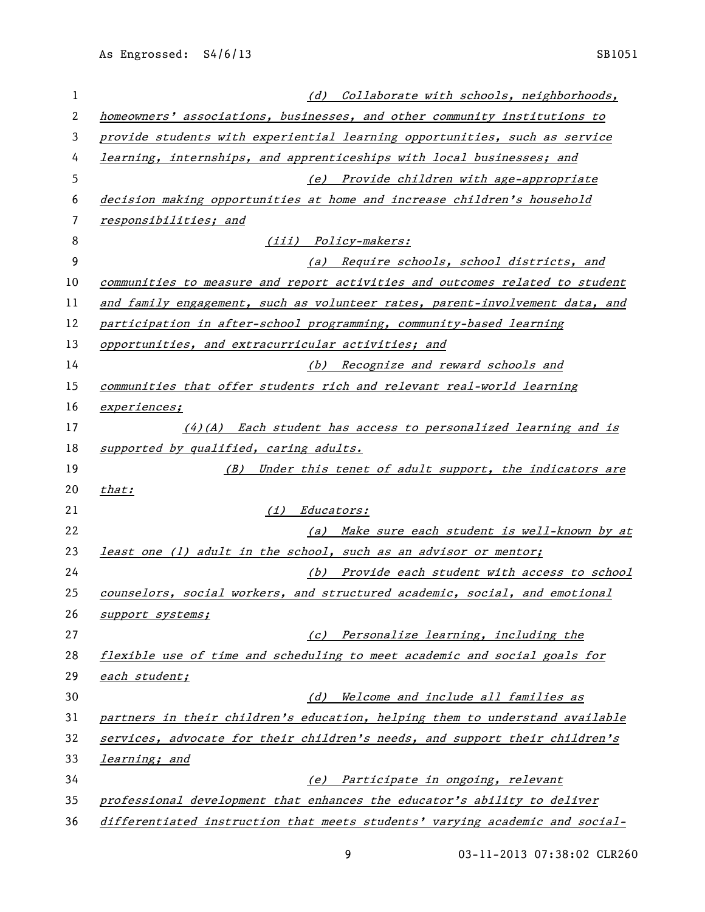| 1  | (d) Collaborate with schools, neighborhoods,                                 |
|----|------------------------------------------------------------------------------|
| 2  | homeowners' associations, businesses, and other community institutions to    |
| 3  | provide students with experiential learning opportunities, such as service   |
| 4  | learning, internships, and apprenticeships with local businesses; and        |
| 5  | (e) Provide children with age-appropriate                                    |
| 6  | decision making opportunities at home and increase children's household      |
| 7  | responsibilities; and                                                        |
| 8  | (iii) Policy-makers:                                                         |
| 9  | (a) Require schools, school districts, and                                   |
| 10 | communities to measure and report activities and outcomes related to student |
| 11 | and family engagement, such as volunteer rates, parent-involvement data, and |
| 12 | participation in after-school programming, community-based learning          |
| 13 | opportunities, and extracurricular activities; and                           |
| 14 | (b) Recognize and reward schools and                                         |
| 15 | communities that offer students rich and relevant real-world learning        |
| 16 | experiences;                                                                 |
| 17 | $(4)$ (A) Each student has access to personalized learning and is            |
| 18 | supported by qualified, caring adults.                                       |
| 19 | Under this tenet of adult support, the indicators are<br>(B)                 |
| 20 | that:                                                                        |
| 21 | ( <i>i</i> ) Educators:                                                      |
| 22 | (a) Make sure each student is well-known by at                               |
| 23 | least one (1) adult in the school, such as an advisor or mentor;             |
| 24 | (b) Provide each student with access to school                               |
| 25 | counselors, social workers, and structured academic, social, and emotional   |
| 26 | support systems;                                                             |
| 27 | (c) Personalize learning, including the                                      |
| 28 | flexible use of time and scheduling to meet academic and social goals for    |
| 29 | each student;                                                                |
| 30 | (d) Welcome and include all families as                                      |
| 31 | partners in their children's education, helping them to understand available |
| 32 | services, advocate for their children's needs, and support their children's  |
| 33 | learning; and                                                                |
| 34 | (e) Participate in ongoing, relevant                                         |
| 35 | professional development that enhances the educator's ability to deliver     |
| 36 | differentiated instruction that meets students' varying academic and social- |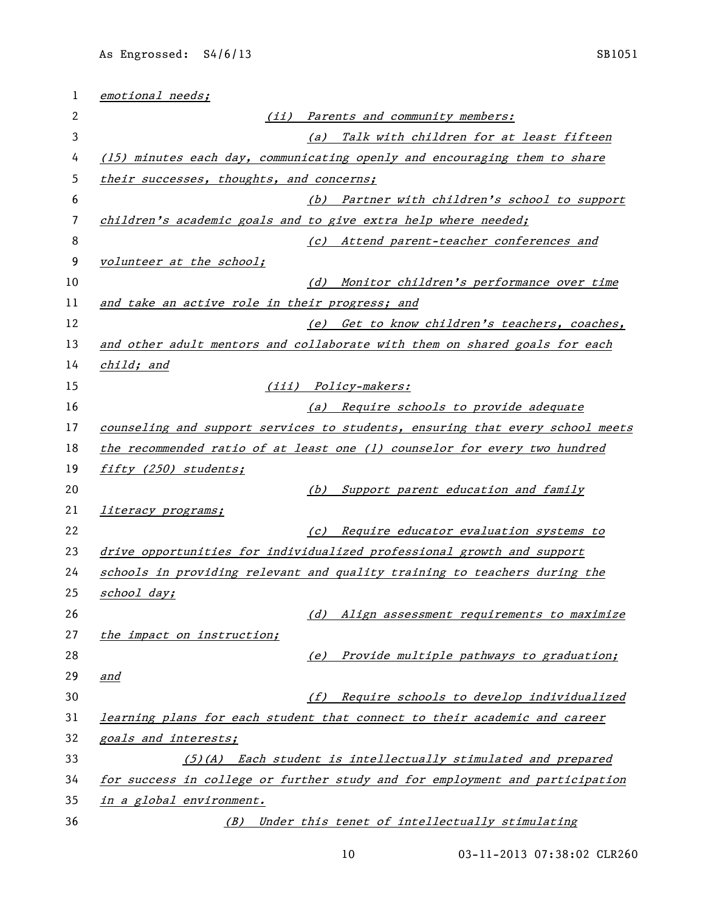| emotional needs;                                               |                                                                               |
|----------------------------------------------------------------|-------------------------------------------------------------------------------|
|                                                                | (ii) Parents and community members:                                           |
|                                                                | Talk with children for at least fifteen<br>(a)                                |
|                                                                | (15) minutes each day, communicating openly and encouraging them to share     |
| their successes, thoughts, and concerns;                       |                                                                               |
|                                                                | (b) Partner with children's school to support                                 |
| children's academic goals and to give extra help where needed; |                                                                               |
|                                                                | (c) Attend parent-teacher conferences and                                     |
| volunteer at the school;                                       |                                                                               |
|                                                                | (d) Monitor children's performance over time                                  |
| and take an active role in their progress; and                 |                                                                               |
|                                                                | (e) Get to know children's teachers, coaches,                                 |
|                                                                | and other adult mentors and collaborate with them on shared goals for each    |
| child; and                                                     |                                                                               |
|                                                                | (iii) Policy-makers:                                                          |
|                                                                | (a) Require schools to provide adequate                                       |
|                                                                | counseling and support services to students, ensuring that every school meets |
|                                                                | the recommended ratio of at least one (1) counselor for every two hundred     |
| fifty (250) students;                                          |                                                                               |
|                                                                | Support parent education and family<br>(b)                                    |
| <i>literacy programs;</i>                                      |                                                                               |
|                                                                | (c) Require educator evaluation systems to                                    |
|                                                                | drive opportunities for individualized professional growth and support        |
|                                                                | schools in providing relevant and quality training to teachers during the     |
| school day;                                                    |                                                                               |
|                                                                | (d) Align assessment requirements to maximize                                 |
| the impact on instruction;                                     |                                                                               |
|                                                                | Provide multiple pathways to graduation;<br>(e)                               |
| <u>and</u>                                                     |                                                                               |
| (f)                                                            | Require schools to develop individualized                                     |
|                                                                | learning plans for each student that connect to their academic and career     |
| <u>goals and interests;</u>                                    |                                                                               |
|                                                                | (5)(A) Each student is intellectually stimulated and prepared                 |
|                                                                | for success in college or further study and for employment and participation  |
| in a global environment.                                       |                                                                               |
| (B)                                                            | Under this tenet of intellectually stimulating                                |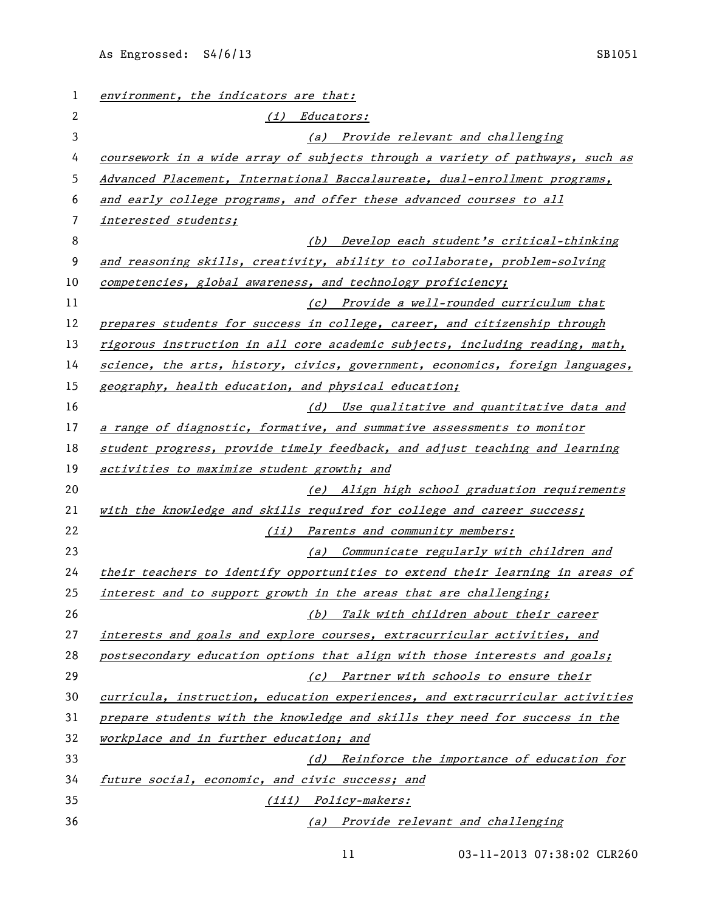| $\mathbf{1}$ | environment, the indicators are that:                                         |
|--------------|-------------------------------------------------------------------------------|
| 2            | (i) Educators:                                                                |
| 3            | (a) Provide relevant and challenging                                          |
| 4            | coursework in a wide array of subjects through a variety of pathways, such as |
| 5            | Advanced Placement, International Baccalaureate, dual-enrollment programs,    |
| 6            | and early college programs, and offer these advanced courses to all           |
| 7            | interested students;                                                          |
| 8            | (b) Develop each student's critical-thinking                                  |
| 9            | and reasoning skills, creativity, ability to collaborate, problem-solving     |
| 10           | competencies, global awareness, and technology proficiency;                   |
| 11           | (c) Provide a well-rounded curriculum that                                    |
| 12           | prepares students for success in college, career, and citizenship through     |
| 13           | rigorous instruction in all core academic subjects, including reading, math,  |
| 14           | science, the arts, history, civics, government, economics, foreign languages, |
| 15           | geography, health education, and physical education;                          |
| 16           | (d) Use qualitative and quantitative data and                                 |
| 17           | a range of diagnostic, formative, and summative assessments to monitor        |
| 18           | student progress, provide timely feedback, and adjust teaching and learning   |
| 19           | activities to maximize student growth; and                                    |
| 20           | (e) Align high school graduation requirements                                 |
| 21           | with the knowledge and skills required for college and career success;        |
| 22           | (ii) Parents and community members:                                           |
| 23           | (a) Communicate regularly with children and                                   |
| 24           | their teachers to identify opportunities to extend their learning in areas of |
| 25           | interest and to support growth in the areas that are challenging;             |
| 26           | (b) Talk with children about their career                                     |
| 27           | interests and goals and explore courses, extracurricular activities, and      |
| 28           | postsecondary education options that align with those interests and goals;    |
| 29           | (c) Partner with schools to ensure their                                      |
| 30           | curricula, instruction, education experiences, and extracurricular activities |
| 31           | prepare students with the knowledge and skills they need for success in the   |
| 32           | workplace and in further education; and                                       |
| 33           | (d) Reinforce the importance of education for                                 |
| 34           | future social, economic, and civic success; and                               |
| 35           | (iii) Policy-makers:                                                          |
| 36           | (a) Provide relevant and challenging                                          |